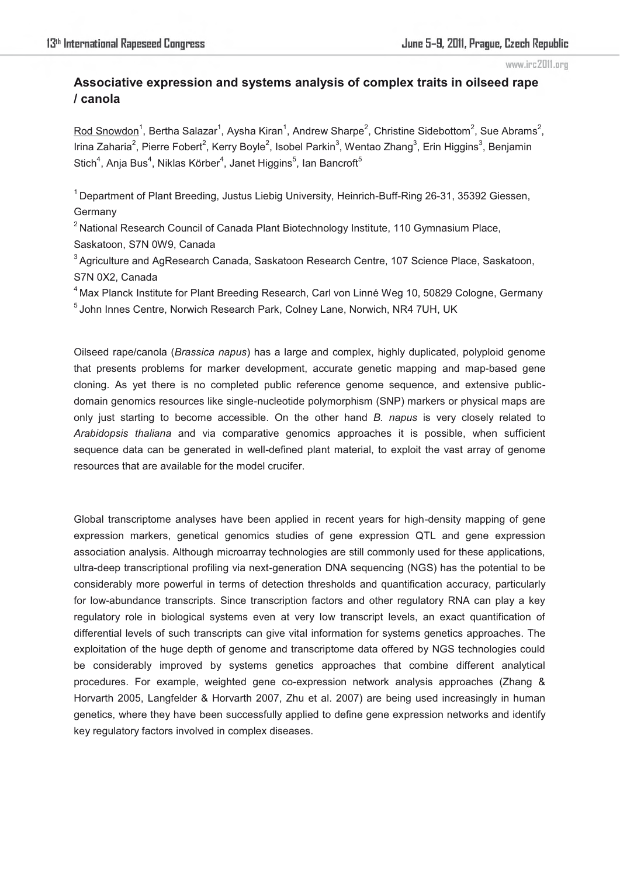# **Associative expression and systems analysis of complex traits in oilseed rape / canola**

 ${\rm Rod~Snowledron}^1$ , Bertha Salazar $^1$ , Aysha Kiran $^1$ , Andrew Sharpe $^2$ , Christine Sidebottom $^2$ , Sue Abrams $^2$ , Irina Zaharia<sup>2</sup>, Pierre Fobert<sup>2</sup>, Kerry Boyle<sup>2</sup>, Isobel Parkin<sup>3</sup>, Wentao Zhang<sup>3</sup>, Erin Higgins<sup>3</sup>, Benjamin Stich<sup>4</sup>, Anja Bus<sup>4</sup>, Niklas Körber<sup>4</sup>, Janet Higgins<sup>5</sup>, Ian Bancroft<sup>5</sup>

<sup>1</sup> Department of Plant Breeding, Justus Liebig University, Heinrich-Buff-Ring 26-31, 35392 Giessen, Germany

<sup>2</sup> National Research Council of Canada Plant Biotechnology Institute, 110 Gymnasium Place,

Saskatoon, S7N 0W9, Canada

<sup>3</sup> Agriculture and AgResearch Canada, Saskatoon Research Centre, 107 Science Place, Saskatoon, S7N 0X2, Canada

<sup>4</sup> Max Planck Institute for Plant Breeding Research, Carl von Linné Weg 10, 50829 Cologne, Germany <sup>5</sup> John Innes Centre, Norwich Research Park, Colney Lane, Norwich, NR4 7UH, UK

Oilseed rape/canola (*Brassica napus*) has a large and complex, highly duplicated, polyploid genome that presents problems for marker development, accurate genetic mapping and map-based gene cloning. As yet there is no completed public reference genome sequence, and extensive publicdomain genomics resources like single-nucleotide polymorphism (SNP) markers or physical maps are only just starting to become accessible. On the other hand *B. napus* is very closely related to *Arabidopsis thaliana* and via comparative genomics approaches it is possible, when sufficient sequence data can be generated in well-defined plant material, to exploit the vast array of genome resources that are available for the model crucifer.

Global transcriptome analyses have been applied in recent years for high-density mapping of gene expression markers, genetical genomics studies of gene expression QTL and gene expression association analysis. Although microarray technologies are still commonly used for these applications, ultra-deep transcriptional profiling via next-generation DNA sequencing (NGS) has the potential to be considerably more powerful in terms of detection thresholds and quantification accuracy, particularly for low-abundance transcripts. Since transcription factors and other regulatory RNA can play a key regulatory role in biological systems even at very low transcript levels, an exact quantification of differential levels of such transcripts can give vital information for systems genetics approaches. The exploitation of the huge depth of genome and transcriptome data offered by NGS technologies could be considerably improved by systems genetics approaches that combine different analytical procedures. For example, weighted gene co-expression network analysis approaches (Zhang & Horvarth 2005, Langfelder & Horvarth 2007, Zhu et al. 2007) are being used increasingly in human genetics, where they have been successfully applied to define gene expression networks and identify key regulatory factors involved in complex diseases.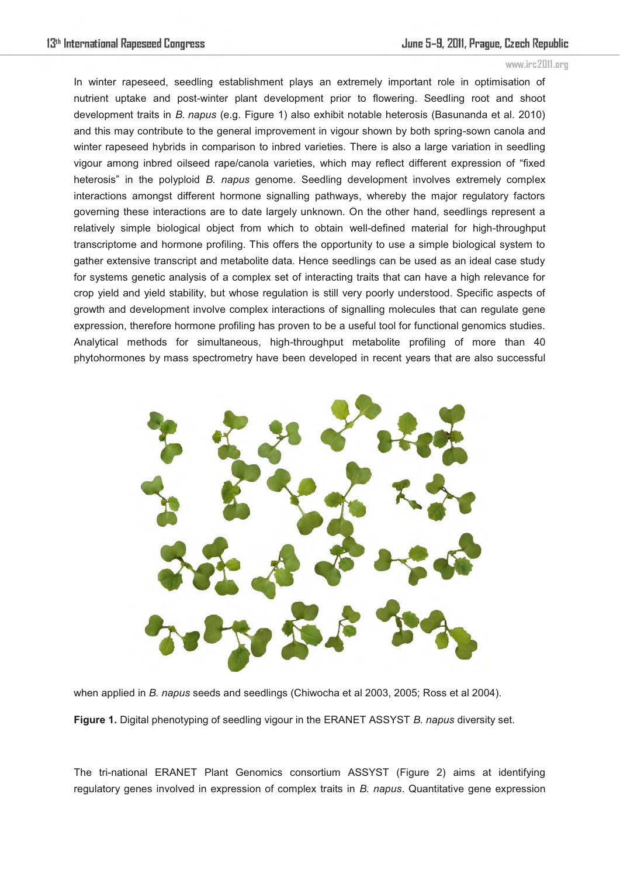In winter rapeseed, seedling establishment plays an extremely important role in optimisation of nutrient uptake and post-winter plant development prior to flowering. Seedling root and shoot development traits in *B. napus* (e.g. Figure 1) also exhibit notable heterosis (Basunanda et al. 2010) and this may contribute to the general improvement in vigour shown by both spring-sown canola and winter rapeseed hybrids in comparison to inbred varieties. There is also a large variation in seedling vigour among inbred oilseed rape/canola varieties, which may reflect different expression of "fixed heterosis" in the polyploid *B. napus* genome. Seedling development involves extremely complex interactions amongst different hormone signalling pathways, whereby the major regulatory factors governing these interactions are to date largely unknown. On the other hand, seedlings represent a relatively simple biological object from which to obtain well-defined material for high-throughput transcriptome and hormone profiling. This offers the opportunity to use a simple biological system to gather extensive transcript and metabolite data. Hence seedlings can be used as an ideal case study for systems genetic analysis of a complex set of interacting traits that can have a high relevance for crop yield and yield stability, but whose regulation is still very poorly understood. Specific aspects of growth and development involve complex interactions of signalling molecules that can regulate gene expression, therefore hormone profiling has proven to be a useful tool for functional genomics studies. Analytical methods for simultaneous, high-throughput metabolite profiling of more than 40 phytohormones by mass spectrometry have been developed in recent years that are also successful



when applied in *B. napus* seeds and seedlings (Chiwocha et al 2003, 2005; Ross et al 2004).

**Figure 1.** Digital phenotyping of seedling vigour in the ERANET ASSYST *B. napus* diversity set.

The tri-national ERANET Plant Genomics consortium ASSYST (Figure 2) aims at identifying regulatory genes involved in expression of complex traits in *B. napus*. Quantitative gene expression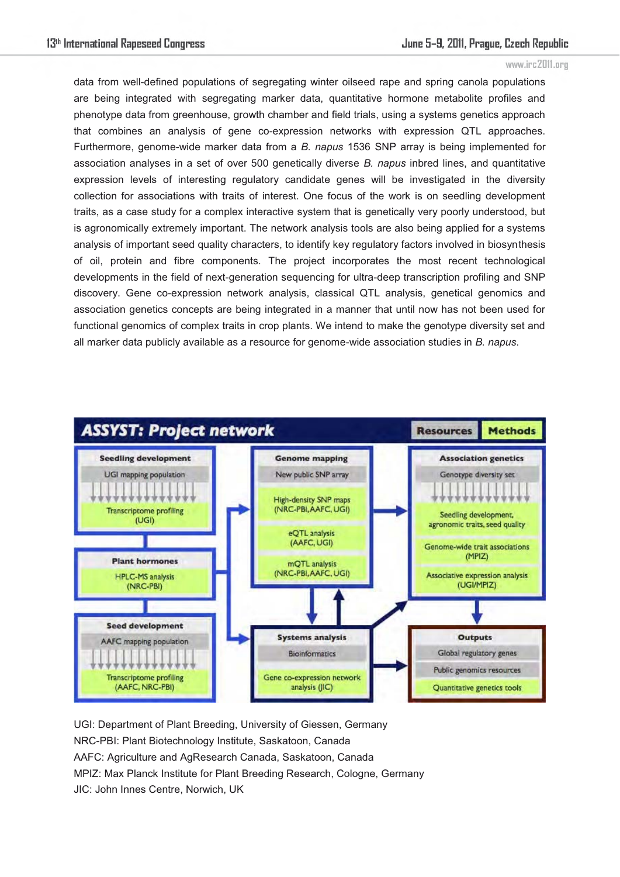data from well-defined populations of segregating winter oilseed rape and spring canola populations are being integrated with segregating marker data, quantitative hormone metabolite profiles and phenotype data from greenhouse, growth chamber and field trials, using a systems genetics approach that combines an analysis of gene co-expression networks with expression QTL approaches. Furthermore, genome-wide marker data from a *B. napus* 1536 SNP array is being implemented for association analyses in a set of over 500 genetically diverse *B. napus* inbred lines, and quantitative expression levels of interesting regulatory candidate genes will be investigated in the diversity collection for associations with traits of interest. One focus of the work is on seedling development traits, as a case study for a complex interactive system that is genetically very poorly understood, but is agronomically extremely important. The network analysis tools are also being applied for a systems analysis of important seed quality characters, to identify key regulatory factors involved in biosynthesis of oil, protein and fibre components. The project incorporates the most recent technological developments in the field of next-generation sequencing for ultra-deep transcription profiling and SNP discovery. Gene co-expression network analysis, classical QTL analysis, genetical genomics and association genetics concepts are being integrated in a manner that until now has not been used for functional genomics of complex traits in crop plants. We intend to make the genotype diversity set and all marker data publicly available as a resource for genome-wide association studies in *B. napus*.



UGI: Department of Plant Breeding, University of Giessen, Germany NRC-PBI: Plant Biotechnology Institute, Saskatoon, Canada AAFC: Agriculture and AgResearch Canada, Saskatoon, Canada MPIZ: Max Planck Institute for Plant Breeding Research, Cologne, Germany JIC: John Innes Centre, Norwich, UK